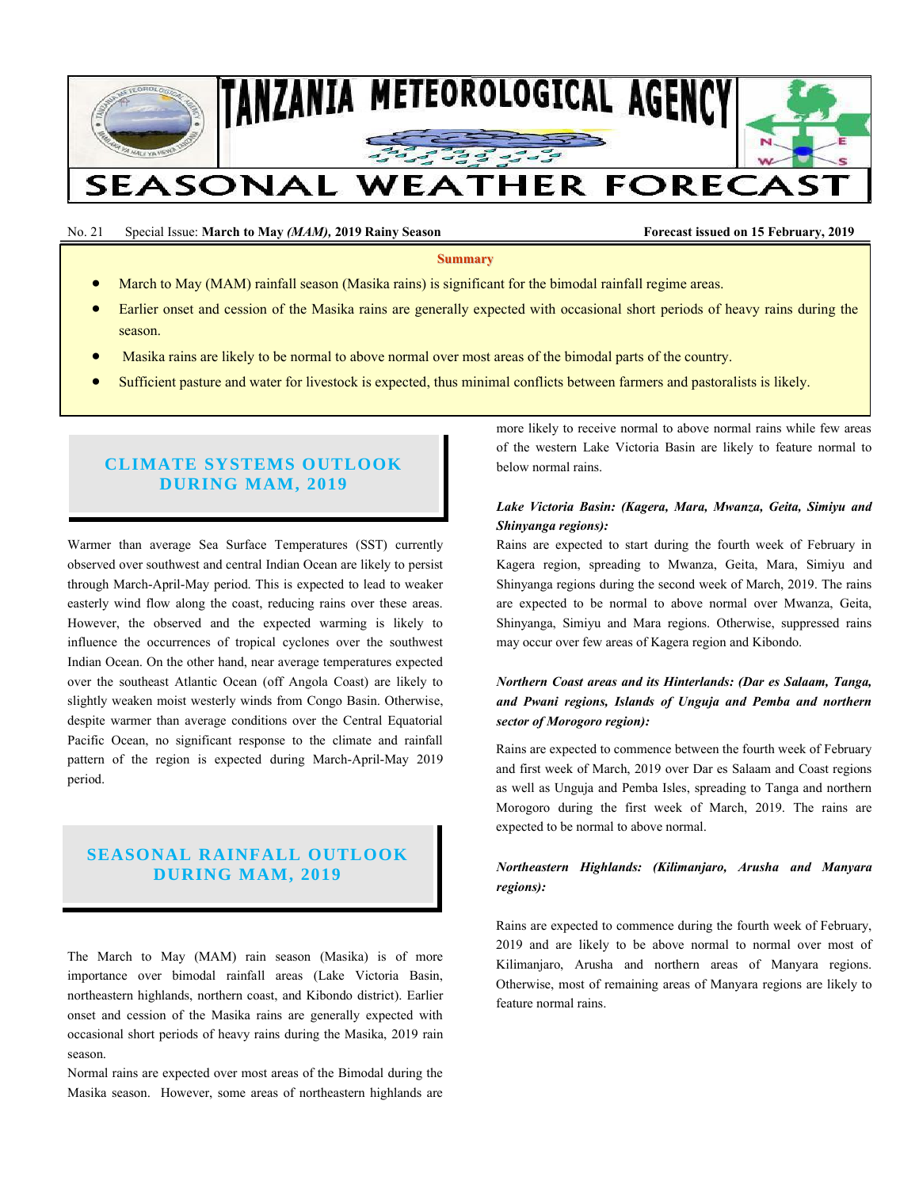

No. 21 Special Issue: March to May *(MAM)*, 2019 Rainy Season **Forecast issued on 15 February, 2019 Forecast issued on 15 February**, 2019

**Summary**

- March to May (MAM) rainfall season (Masika rains) is significant for the bimodal rainfall regime areas.
- Earlier onset and cession of the Masika rains are generally expected with occasional short periods of heavy rains during the season.
- Masika rains are likely to be normal to above normal over most areas of the bimodal parts of the country.
- Sufficient pasture and water for livestock is expected, thus minimal conflicts between farmers and pastoralists is likely.

# **CLIMATE SYSTEMS OUTLOOK DURING MAM, 2019**

Warmer than average Sea Surface Temperatures (SST) currently observed over southwest and central Indian Ocean are likely to persist through March-April-May period. This is expected to lead to weaker easterly wind flow along the coast, reducing rains over these areas. However, the observed and the expected warming is likely to influence the occurrences of tropical cyclones over the southwest Indian Ocean. On the other hand, near average temperatures expected over the southeast Atlantic Ocean (off Angola Coast) are likely to slightly weaken moist westerly winds from Congo Basin. Otherwise, despite warmer than average conditions over the Central Equatorial Pacific Ocean, no significant response to the climate and rainfall pattern of the region is expected during March-April-May 2019 period.

# **SEASONAL RAINFALL OUTLOOK DURING MAM, 2019**

The March to May (MAM) rain season (Masika) is of more importance over bimodal rainfall areas (Lake Victoria Basin, northeastern highlands, northern coast, and Kibondo district). Earlier onset and cession of the Masika rains are generally expected with occasional short periods of heavy rains during the Masika, 2019 rain season.

Normal rains are expected over most areas of the Bimodal during the Masika season. However, some areas of northeastern highlands are more likely to receive normal to above normal rains while few areas of the western Lake Victoria Basin are likely to feature normal to below normal rains.

#### *Lake Victoria Basin: (Kagera, Mara, Mwanza, Geita, Simiyu and Shinyanga regions):*

Rains are expected to start during the fourth week of February in Kagera region, spreading to Mwanza, Geita, Mara, Simiyu and Shinyanga regions during the second week of March, 2019. The rains are expected to be normal to above normal over Mwanza, Geita, Shinyanga, Simiyu and Mara regions. Otherwise, suppressed rains may occur over few areas of Kagera region and Kibondo.

### *Northern Coast areas and its Hinterlands: (Dar es Salaam, Tanga, and Pwani regions, Islands of Unguja and Pemba and northern sector of Morogoro region):*

Rains are expected to commence between the fourth week of February and first week of March, 2019 over Dar es Salaam and Coast regions as well as Unguja and Pemba Isles, spreading to Tanga and northern Morogoro during the first week of March, 2019. The rains are expected to be normal to above normal.

## *Northeastern Highlands: (Kilimanjaro, Arusha and Manyara regions):*

Rains are expected to commence during the fourth week of February, 2019 and are likely to be above normal to normal over most of Kilimanjaro, Arusha and northern areas of Manyara regions. Otherwise, most of remaining areas of Manyara regions are likely to feature normal rains.